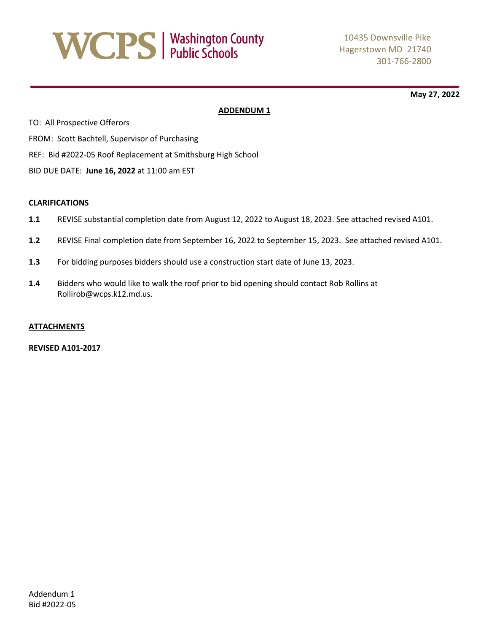# **WCPS** | Washington County

**May 27, 2022**

# **ADDENDUM 1**

TO: All Prospective Offerors FROM: Scott Bachtell, Supervisor of Purchasing REF: Bid #2022-05 Roof Replacement at Smithsburg High School BID DUE DATE: **June 16, 2022** at 11:00 am EST

# **CLARIFICATIONS**

- **1.1** REVISE substantial completion date from August 12, 2022 to August 18, 2023. See attached revised A101.
- **1.2** REVISE Final completion date from September 16, 2022 to September 15, 2023. See attached revised A101.
- **1.3** For bidding purposes bidders should use a construction start date of June 13, 2023.
- **1.4** Bidders who would like to walk the roof prior to bid opening should contact Rob Rollins at Rollirob@wcps.k12.md.us.

# **ATTACHMENTS**

**REVISED A101-2017**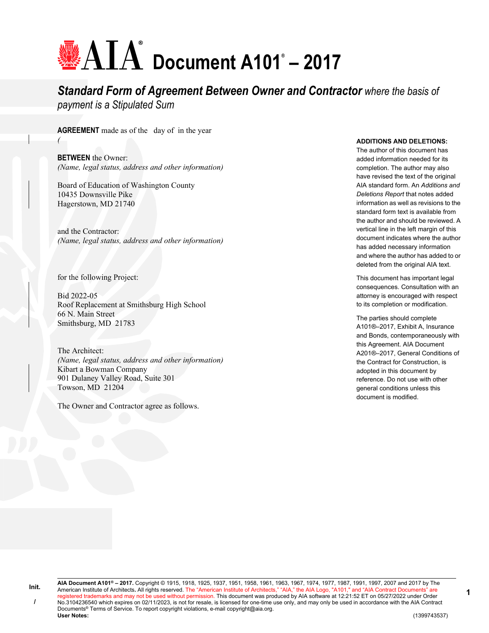# **Document A101® – 2017**

# *Standard Form of Agreement Between Owner and Contractor where the basis of payment is a Stipulated Sum*

**AGREEMENT** made as of the day of in the year *(*

**BETWEEN** the Owner: *(Name, legal status, address and other information)*

Board of Education of Washington County 10435 Downsville Pike Hagerstown, MD 21740

and the Contractor: *(Name, legal status, address and other information)*

for the following Project:

Bid 2022-05 Roof Replacement at Smithsburg High School 66 N. Main Street Smithsburg, MD 21783

The Architect: *(Name, legal status, address and other information)* Kibart a Bowman Company 901 Dulaney Valley Road, Suite 301 Towson, MD 21204

The Owner and Contractor agree as follows.

#### **ADDITIONS AND DELETIONS:**

The author of this document has added information needed for its completion. The author may also have revised the text of the original AIA standard form. An *Additions and Deletions Report* that notes added information as well as revisions to the standard form text is available from the author and should be reviewed. A vertical line in the left margin of this document indicates where the author has added necessary information and where the author has added to or deleted from the original AIA text.

This document has important legal consequences. Consultation with an attorney is encouraged with respect to its completion or modification.

The parties should complete A101®–2017, Exhibit A, Insurance and Bonds, contemporaneously with this Agreement. AIA Document A201®–2017, General Conditions of the Contract for Construction, is adopted in this document by reference. Do not use with other general conditions unless this document is modified.

**Init. /**

**AIA Document A101® – 2017.** Copyright © 1915, 1918, 1925, 1937, 1951, 1958, 1961, 1963, 1967, 1974, 1977, 1987, 1991, 1997, 2007 and 2017 by The American Institute of Architects**.** All rights reserved. The "American Institute of Architects," "AIA," the AIA Logo, "A101," and "AIA Contract Documents" are registered trademarks and may not be used without permission. This document was produced by AIA software at 12:21:52 ET on 05/27/2022 under Order No.3104236540 which expires on 02/11/2023, is not for resale, is licensed for one-time use only, and may only be used in accordance with the AIA Contract Documents<sup>®</sup> Terms of Service. To report copyright violations, e-mail copyright@aia.org.<br>User Notes: **User Notes:** (1399743537)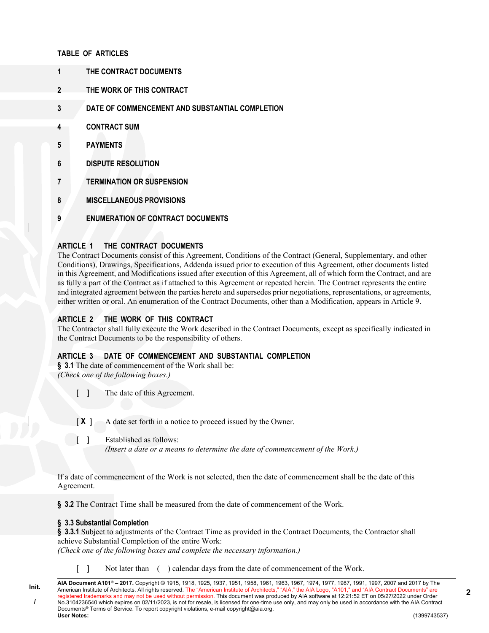# **TABLE OF ARTICLES**

- **1 THE CONTRACT DOCUMENTS**
- **2 THE WORK OF THIS CONTRACT**
- **3 DATE OF COMMENCEMENT AND SUBSTANTIAL COMPLETION**
- **4 CONTRACT SUM**
- **5 PAYMENTS**
- **6 DISPUTE RESOLUTION**
- **7 TERMINATION OR SUSPENSION**
- **8 MISCELLANEOUS PROVISIONS**
- **9 ENUMERATION OF CONTRACT DOCUMENTS**

# **ARTICLE 1 THE CONTRACT DOCUMENTS**

The Contract Documents consist of this Agreement, Conditions of the Contract (General, Supplementary, and other Conditions), Drawings, Specifications, Addenda issued prior to execution of this Agreement, other documents listed in this Agreement, and Modifications issued after execution of this Agreement, all of which form the Contract, and are as fully a part of the Contract as if attached to this Agreement or repeated herein. The Contract represents the entire and integrated agreement between the parties hereto and supersedes prior negotiations, representations, or agreements, either written or oral. An enumeration of the Contract Documents, other than a Modification, appears in Article 9.

# **ARTICLE 2 THE WORK OF THIS CONTRACT**

The Contractor shall fully execute the Work described in the Contract Documents, except as specifically indicated in the Contract Documents to be the responsibility of others.

# **ARTICLE 3 DATE OF COMMENCEMENT AND SUBSTANTIAL COMPLETION**

**§ 3.1** The date of commencement of the Work shall be: *(Check one of the following boxes.)*

[ ] The date of this Agreement.

[X] A date set forth in a notice to proceed issued by the Owner.

[ ] Established as follows:

*(Insert a date or a means to determine the date of commencement of the Work.)*

If a date of commencement of the Work is not selected, then the date of commencement shall be the date of this Agreement.

**§ 3.2** The Contract Time shall be measured from the date of commencement of the Work.

# **§ 3.3 Substantial Completion**

**Init. /**

§ 3.3.1 Subject to adjustments of the Contract Time as provided in the Contract Documents, the Contractor shall achieve Substantial Completion of the entire Work: *(Check one of the following boxes and complete the necessary information.)*

[ ] Not later than ( ) calendar days from the date of commencement of the Work.

**AIA Document A101® – 2017.** Copyright © 1915, 1918, 1925, 1937, 1951, 1958, 1961, 1963, 1967, 1974, 1977, 1987, 1991, 1997, 2007 and 2017 by The American Institute of Architects. All rights reserved. The "American Institute of Architects," "AIA," the AIA Logo, "A101," and "AIA Contract Documents" are registered trademarks and may not be used without permission. This document was produced by AIA software at 12:21:52 ET on 05/27/2022 under Order No.3104236540 which expires on 02/11/2023, is not for resale, is licensed for one-time use only, and may only be used in accordance with the AIA Contract Documents<sup>®</sup> Terms of Service. To report copyright violations, e-mail copyright@aia.org.<br>User Notes: **User Notes:** (1399743537)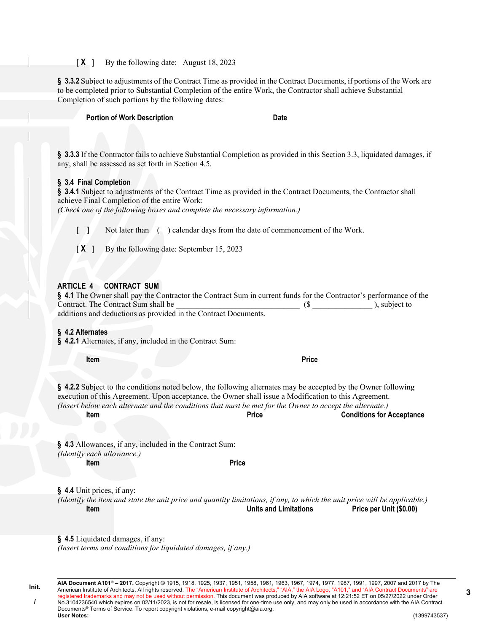**§ 3.3.2** Subject to adjustments of the Contract Time as provided in the Contract Documents, if portions of the Work are to be completed prior to Substantial Completion of the entire Work, the Contractor shall achieve Substantial Completion of such portions by the following dates:

**Portion of Work Description Date** 

**§ 3.3.3** If the Contractor fails to achieve Substantial Completion as provided in this Section 3.3, liquidated damages, if any, shall be assessed as set forth in Section 4.5.

#### **§ 3.4 Final Completion**

**§ 3.4.1** Subject to adjustments of the Contract Time as provided in the Contract Documents, the Contractor shall achieve Final Completion of the entire Work:

*(Check one of the following boxes and complete the necessary information.)*

[ ] Not later than ( ) calendar days from the date of commencement of the Work.

[ $X$ ] By the following date: September 15, 2023

# **ARTICLE 4 CONTRACT SUM**

| § 4.1 The Owner shall pay the Contractor the Contract Sum in current funds for the Contractor's performance of the |               |
|--------------------------------------------------------------------------------------------------------------------|---------------|
| Contract. The Contract Sum shall be                                                                                | ), subject to |
| additions and deductions as provided in the Contract Documents.                                                    |               |

# **§ 4.2 Alternates**

**§ 4.2.1** Alternates, if any, included in the Contract Sum:

**Item Price**

**§ 4.2.2** Subject to the conditions noted below, the following alternates may be accepted by the Owner following execution of this Agreement. Upon acceptance, the Owner shall issue a Modification to this Agreement. *(Insert below each alternate and the conditions that must be met for the Owner to accept the alternate.)* **Item Price Conditions for Acceptance**

|                            | § 4.3 Allowances, if any, included in the Contract Sum: |  |  |
|----------------------------|---------------------------------------------------------|--|--|
| (Identify each allowance.) |                                                         |  |  |

**Item Price**

**§ 4.4** Unit prices, if any:

*(Identify the item and state the unit price and quantity limitations, if any, to which the unit price will be applicable.)* **Item Units and Limitations Price per Unit (\$0.00)**

**§ 4.5** Liquidated damages, if any: *(Insert terms and conditions for liquidated damages, if any.)*

**AIA Document A101® – 2017.** Copyright © 1915, 1918, 1925, 1937, 1951, 1958, 1961, 1963, 1967, 1974, 1977, 1987, 1991, 1997, 2007 and 2017 by The American Institute of Architects. All rights reserved. The "American Institute of Architects," "AIA," the AIA Logo, "A101," and "AIA Contract Documents" are registered trademarks and may not be used without permission. This document was produced by AIA software at 12:21:52 ET on 05/27/2022 under Order No.3104236540 which expires on 02/11/2023, is not for resale, is licensed for one-time use only, and may only be used in accordance with the AIA Contract Documents<sup>®</sup> Terms of Service. To report copyright violations, e-mail copyright@aia.org.<br>User Notes: **User Notes:** (1399743537)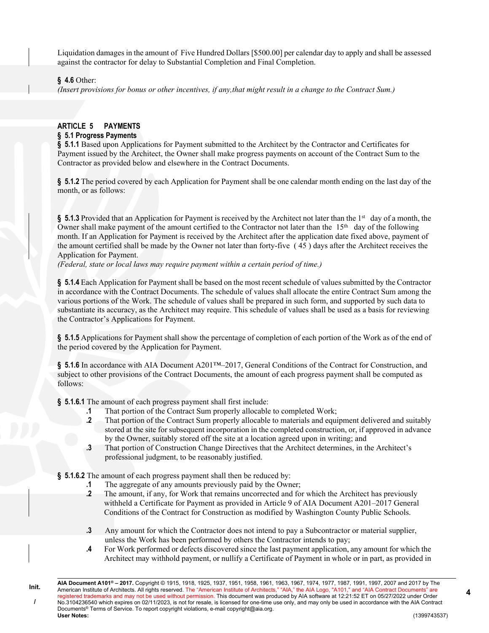Liquidation damages in the amount of Five Hundred Dollars [\$500.00] per calendar day to apply and shall be assessed against the contractor for delay to Substantial Completion and Final Completion.

#### **§ 4.6** Other:

**Init. /**

*(Insert provisions for bonus or other incentives, if any,that might result in a change to the Contract Sum.)*

# **ARTICLE 5 PAYMENTS**

# **§ 5.1 Progress Payments**

§ 5.1.1 Based upon Applications for Payment submitted to the Architect by the Contractor and Certificates for Payment issued by the Architect, the Owner shall make progress payments on account of the Contract Sum to the Contractor as provided below and elsewhere in the Contract Documents.

**§ 5.1.2** The period covered by each Application for Payment shall be one calendar month ending on the last day of the month, or as follows:

**§ 5.1.3** Provided that an Application for Payment is received by the Architect not later than the 1st day of a month, the Owner shall make payment of the amount certified to the Contractor not later than the  $15<sup>th</sup>$  day of the following month. If an Application for Payment is received by the Architect after the application date fixed above, payment of the amount certified shall be made by the Owner not later than forty-five ( 45 ) days after the Architect receives the Application for Payment.

*(Federal, state or local laws may require payment within a certain period of time.)*

**§ 5.1.4** Each Application for Payment shall be based on the most recent schedule of values submitted by the Contractor in accordance with the Contract Documents. The schedule of values shall allocate the entire Contract Sum among the various portions of the Work. The schedule of values shall be prepared in such form, and supported by such data to substantiate its accuracy, as the Architect may require. This schedule of values shall be used as a basis for reviewing the Contractor's Applications for Payment.

**§ 5.1.5** Applications for Payment shall show the percentage of completion of each portion of the Work as of the end of the period covered by the Application for Payment.

§ 5.1.6 In accordance with AIA Document A201<sup>™</sup>–2017, General Conditions of the Contract for Construction, and subject to other provisions of the Contract Documents, the amount of each progress payment shall be computed as follows:

**§ 5.1.6.1** The amount of each progress payment shall first include:

- **.1** That portion of the Contract Sum properly allocable to completed Work;
- **.2** That portion of the Contract Sum properly allocable to materials and equipment delivered and suitably stored at the site for subsequent incorporation in the completed construction, or, if approved in advance by the Owner, suitably stored off the site at a location agreed upon in writing; and
- **.3** That portion of Construction Change Directives that the Architect determines, in the Architect's professional judgment, to be reasonably justified.

**§ 5.1.6.2** The amount of each progress payment shall then be reduced by:

- **.1** The aggregate of any amounts previously paid by the Owner;
- **.2** The amount, if any, for Work that remains uncorrected and for which the Architect has previously withheld a Certificate for Payment as provided in Article 9 of AIA Document A201–2017 General Conditions of the Contract for Construction as modified by Washington County Public Schools.
- **.3** Any amount for which the Contractor does not intend to pay a Subcontractor or material supplier, unless the Work has been performed by others the Contractor intends to pay;
- **.4** For Work performed or defects discovered since the last payment application, any amount for which the Architect may withhold payment, or nullify a Certificate of Payment in whole or in part, as provided in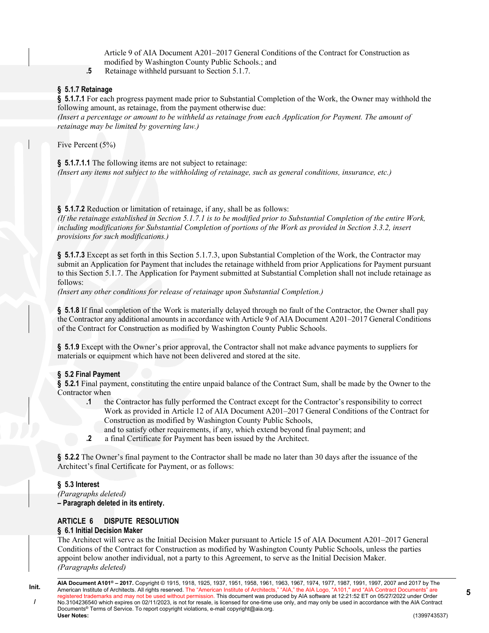Article 9 of AIA Document A201–2017 General Conditions of the Contract for Construction as modified by Washington County Public Schools.; and

**.5** Retainage withheld pursuant to Section 5.1.7.

#### **§ 5.1.7 Retainage**

**§ 5.1.7.1** For each progress payment made prior to Substantial Completion of the Work, the Owner may withhold the following amount, as retainage, from the payment otherwise due:

*(Insert a percentage or amount to be withheld as retainage from each Application for Payment. The amount of retainage may be limited by governing law.)*

Five Percent (5%)

**§ 5.1.7.1.1** The following items are not subject to retainage:

*(Insert any items not subject to the withholding of retainage, such as general conditions, insurance, etc.)*

#### **§ 5.1.7.2** Reduction or limitation of retainage, if any, shall be as follows:

*(If the retainage established in Section 5.1.7.1 is to be modified prior to Substantial Completion of the entire Work, including modifications for Substantial Completion of portions of the Work as provided in Section 3.3.2, insert provisions for such modifications.)*

**§ 5.1.7.3** Except as set forth in this Section 5.1.7.3, upon Substantial Completion of the Work, the Contractor may submit an Application for Payment that includes the retainage withheld from prior Applications for Payment pursuant to this Section 5.1.7. The Application for Payment submitted at Substantial Completion shall not include retainage as follows:

*(Insert any other conditions for release of retainage upon Substantial Completion.)*

**§ 5.1.8** If final completion of the Work is materially delayed through no fault of the Contractor, the Owner shall pay the Contractor any additional amounts in accordance with Article 9 of AIA Document A201–2017 General Conditions of the Contract for Construction as modified by Washington County Public Schools.

**§ 5.1.9** Except with the Owner's prior approval, the Contractor shall not make advance payments to suppliers for materials or equipment which have not been delivered and stored at the site.

# **§ 5.2 Final Payment**

**§ 5.2.1** Final payment, constituting the entire unpaid balance of the Contract Sum, shall be made by the Owner to the Contractor when

- .1 the Contractor has fully performed the Contract except for the Contractor's responsibility to correct Work as provided in Article 12 of AIA Document A201–2017 General Conditions of the Contract for Construction as modified by Washington County Public Schools,
	- and to satisfy other requirements, if any, which extend beyond final payment; and
- **.2** a final Certificate for Payment has been issued by the Architect.

**§ 5.2.2** The Owner's final payment to the Contractor shall be made no later than 30 days after the issuance of the Architect's final Certificate for Payment, or as follows:

#### **§ 5.3 Interest**

*(Paragraphs deleted)* **– Paragraph deleted in its entirety.**

# **ARTICLE 6 DISPUTE RESOLUTION**

# **§ 6.1 Initial Decision Maker**

The Architect will serve as the Initial Decision Maker pursuant to Article 15 of AIA Document A201–2017 General Conditions of the Contract for Construction as modified by Washington County Public Schools, unless the parties appoint below another individual, not a party to this Agreement, to serve as the Initial Decision Maker. *(Paragraphs deleted)*

**Init. /**

**AIA Document A101® – 2017.** Copyright © 1915, 1918, 1925, 1937, 1951, 1958, 1961, 1963, 1967, 1974, 1977, 1987, 1991, 1997, 2007 and 2017 by The American Institute of Architects. All rights reserved. The "American Institute of Architects," "AIA," the AIA Logo, "A101," and "AIA Contract Documents" are registered trademarks and may not be used without permission. This document was produced by AIA software at 12:21:52 ET on 05/27/2022 under Order No.3104236540 which expires on 02/11/2023, is not for resale, is licensed for one-time use only, and may only be used in accordance with the AIA Contract Documents<sup>®</sup> Terms of Service. To report copyright violations, e-mail copyright@aia.org.<br>User Notes: **User Notes:** (1399743537)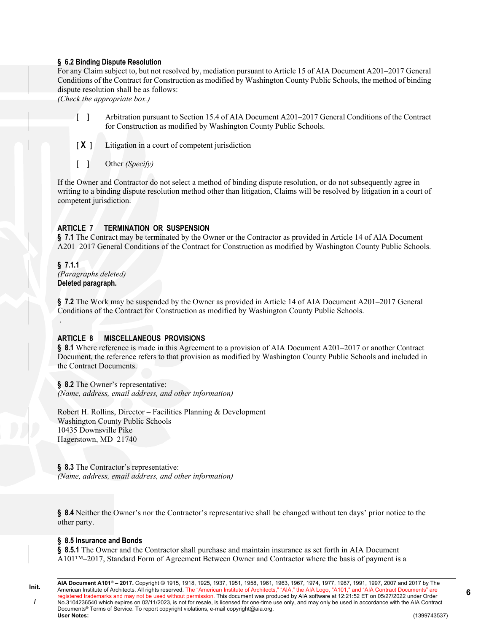# **§ 6.2 Binding Dispute Resolution**

For any Claim subject to, but not resolved by, mediation pursuant to Article 15 of AIA Document A201–2017 General Conditions of the Contract for Construction as modified by Washington County Public Schools, the method of binding dispute resolution shall be as follows:

*(Check the appropriate box.)*

- [ ] Arbitration pursuant to Section 15.4 of AIA Document A201–2017 General Conditions of the Contract for Construction as modified by Washington County Public Schools.
- [ $X$ ] Litigation in a court of competent jurisdiction
- [ ] Other *(Specify)*

If the Owner and Contractor do not select a method of binding dispute resolution, or do not subsequently agree in writing to a binding dispute resolution method other than litigation, Claims will be resolved by litigation in a court of competent jurisdiction.

#### **ARTICLE 7 TERMINATION OR SUSPENSION**

**§ 7.1** The Contract may be terminated by the Owner or the Contractor as provided in Article 14 of AIA Document A201–2017 General Conditions of the Contract for Construction as modified by Washington County Public Schools.

**§ 7.1.1**  *(Paragraphs deleted)* **Deleted paragraph.** 

.

**§ 7.2** The Work may be suspended by the Owner as provided in Article 14 of AIA Document A201–2017 General Conditions of the Contract for Construction as modified by Washington County Public Schools.

#### **ARTICLE 8 MISCELLANEOUS PROVISIONS**

**§ 8.1** Where reference is made in this Agreement to a provision of AIA Document A201–2017 or another Contract Document, the reference refers to that provision as modified by Washington County Public Schools and included in the Contract Documents.

**§ 8.2** The Owner's representative: *(Name, address, email address, and other information)*

Robert H. Rollins, Director – Facilities Planning & Development Washington County Public Schools 10435 Downsville Pike Hagerstown, MD 21740

**§ 8.3** The Contractor's representative: *(Name, address, email address, and other information)*

**§ 8.4** Neither the Owner's nor the Contractor's representative shall be changed without ten days' prior notice to the other party.

#### **§ 8.5 Insurance and Bonds**

**§ 8.5.1** The Owner and the Contractor shall purchase and maintain insurance as set forth in AIA Document A101™–2017, Standard Form of Agreement Between Owner and Contractor where the basis of payment is a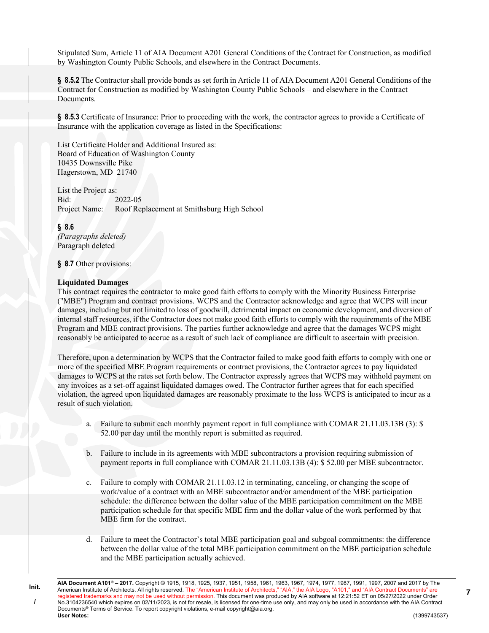Stipulated Sum, Article 11 of AIA Document A201 General Conditions of the Contract for Construction, as modified by Washington County Public Schools, and elsewhere in the Contract Documents.

**§ 8.5.2** The Contractor shall provide bonds as set forth in Article 11 of AIA Document A201 General Conditions of the Contract for Construction as modified by Washington County Public Schools – and elsewhere in the Contract Documents.

§ 8.5.3 Certificate of Insurance: Prior to proceeding with the work, the contractor agrees to provide a Certificate of Insurance with the application coverage as listed in the Specifications:

List Certificate Holder and Additional Insured as: Board of Education of Washington County 10435 Downsville Pike Hagerstown, MD 21740

List the Project as: Bid: 2022-05 Project Name: Roof Replacement at Smithsburg High School

**§ 8.6** *(Paragraphs deleted)* Paragraph deleted

**§ 8.7** Other provisions:

#### **Liquidated Damages**

**Init. /**

This contract requires the contractor to make good faith efforts to comply with the Minority Business Enterprise ("MBE") Program and contract provisions. WCPS and the Contractor acknowledge and agree that WCPS will incur damages, including but not limited to loss of goodwill, detrimental impact on economic development, and diversion of internal staff resources, if the Contractor does not make good faith efforts to comply with the requirements of the MBE Program and MBE contract provisions. The parties further acknowledge and agree that the damages WCPS might reasonably be anticipated to accrue as a result of such lack of compliance are difficult to ascertain with precision.

Therefore, upon a determination by WCPS that the Contractor failed to make good faith efforts to comply with one or more of the specified MBE Program requirements or contract provisions, the Contractor agrees to pay liquidated damages to WCPS at the rates set forth below. The Contractor expressly agrees that WCPS may withhold payment on any invoices as a set-off against liquidated damages owed. The Contractor further agrees that for each specified violation, the agreed upon liquidated damages are reasonably proximate to the loss WCPS is anticipated to incur as a result of such violation.

- a. Failure to submit each monthly payment report in full compliance with COMAR 21.11.03.13B (3): \$ 52.00 per day until the monthly report is submitted as required.
- b. Failure to include in its agreements with MBE subcontractors a provision requiring submission of payment reports in full compliance with COMAR 21.11.03.13B (4): \$ 52.00 per MBE subcontractor.
- Failure to comply with COMAR 21.11.03.12 in terminating, canceling, or changing the scope of work/value of a contract with an MBE subcontractor and/or amendment of the MBE participation schedule: the difference between the dollar value of the MBE participation commitment on the MBE participation schedule for that specific MBE firm and the dollar value of the work performed by that MBE firm for the contract.
- d. Failure to meet the Contractor's total MBE participation goal and subgoal commitments: the difference between the dollar value of the total MBE participation commitment on the MBE participation schedule and the MBE participation actually achieved.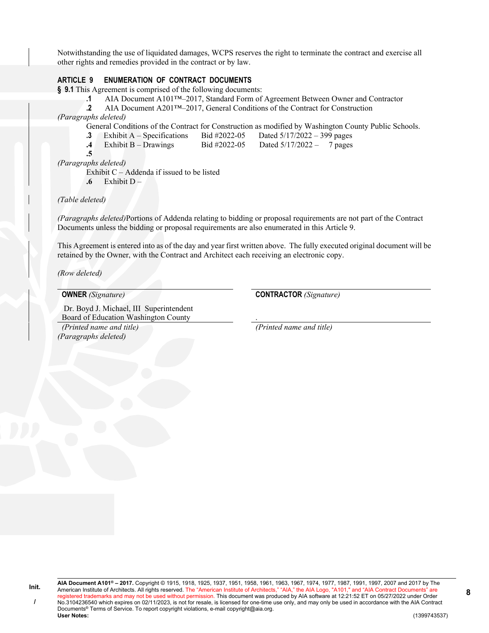Notwithstanding the use of liquidated damages, WCPS reserves the right to terminate the contract and exercise all other rights and remedies provided in the contract or by law.

# **ARTICLE 9 ENUMERATION OF CONTRACT DOCUMENTS**

**§ 9.1** This Agreement is comprised of the following documents:

**.1** AIA Document A101™–2017, Standard Form of Agreement Between Owner and Contractor

**.2** AIA Document A201™–2017, General Conditions of the Contract for Construction

*(Paragraphs deleted)*

General Conditions of the Contract for Construction as modified by Washington County Public Schools.

- **.3** Exhibit A Specifications Bid #2022-05 Dated 5/17/2022 399 pages
- **.4** Exhibit B Drawings Bid #2022-05 Dated 5/17/2022 7 pages

**.5** 

*(Paragraphs deleted)*

Exhibit C – Addenda if issued to be listed

**.6** Exhibit D –

*(Table deleted)*

*(Paragraphs deleted)*Portions of Addenda relating to bidding or proposal requirements are not part of the Contract Documents unless the bidding or proposal requirements are also enumerated in this Article 9.

This Agreement is entered into as of the day and year first written above. The fully executed original document will be retained by the Owner, with the Contract and Architect each receiving an electronic copy.

*(Row deleted)*

 Dr. Boyd J. Michael, III Superintendent Board of Education Washington County . *(Printed name and title) (Printed name and title) (Paragraphs deleted)*

**OWNER** *(Signature)* **CONTRACTOR** *(Signature)*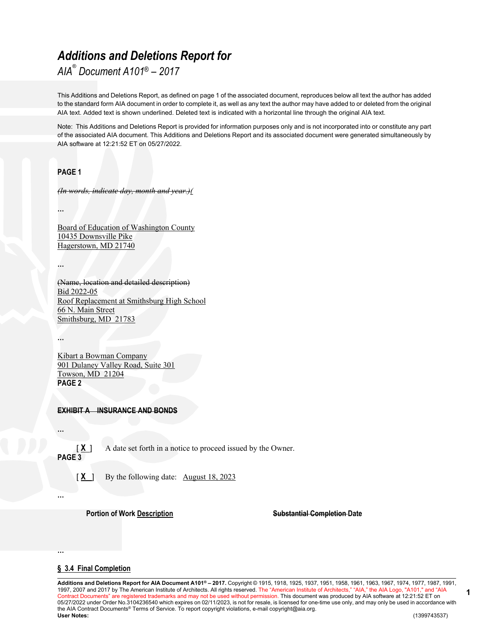# *Additions and Deletions Report for*

*AIA® Document A101® – 2017*

This Additions and Deletions Report, as defined on page 1 of the associated document, reproduces below all text the author has added to the standard form AIA document in order to complete it, as well as any text the author may have added to or deleted from the original AIA text. Added text is shown underlined. Deleted text is indicated with a horizontal line through the original AIA text.

Note: This Additions and Deletions Report is provided for information purposes only and is not incorporated into or constitute any part of the associated AIA document. This Additions and Deletions Report and its associated document were generated simultaneously by AIA software at 12:21:52 ET on 05/27/2022.

# **PAGE 1**

*(In words, indicate day, month and year.)(*

**…**

Board of Education of Washington County 10435 Downsville Pike Hagerstown, MD 21740

**…**

(Name, location and detailed description) Bid 2022-05 Roof Replacement at Smithsburg High School 66 N. Main Street Smithsburg, MD 21783

**…**

Kibart a Bowman Company 901 Dulaney Valley Road, Suite 301 Towson, MD 21204 **PAGE 2**

# **EXHIBIT A INSURANCE AND BONDS**

**…**

[ $X$ ] A date set forth in a notice to proceed issued by the Owner. **PAGE 3**

[ $X$ ] By the following date: August 18, 2023

**…**

**…**

**Portion of Work Description Substantial Completion Date** 

**1**

# **§ 3.4 Final Completion**

**Additions and Deletions Report for AIA Document A101® – 2017.** Copyright © 1915, 1918, 1925, 1937, 1951, 1958, 1961, 1963, 1967, 1974, 1977, 1987, 1991, 1997, 2007 and 2017 by The American Institute of Architects. All rights reserved. The "American Institute of Architects," "AIA," the AIA Logo, "A101," and "AIA Contract Documents" are registered trademarks and may not be used without permission. This document was produced by AIA software at 12:21:52 ET on 05/27/2022 under Order No.3104236540 which expires on 02/11/2023, is not for resale, is licensed for one-time use only, and may only be used in accordance with the AIA Contract Documents® Terms of Service. To report copyright violations, e-mail copyright@aia.org.<br>User Notes: **User Notes:** (1399743537)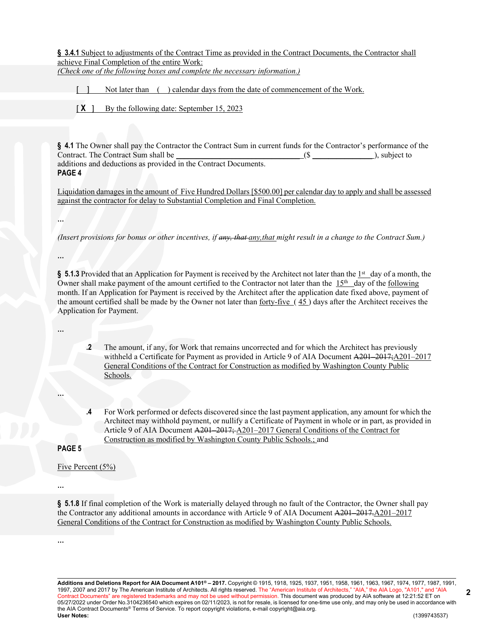§ 3.4.1 Subject to adjustments of the Contract Time as provided in the Contract Documents, the Contractor shall achieve Final Completion of the entire Work: *(Check one of the following boxes and complete the necessary information.)*

- Not later than ( ) calendar days from the date of commencement of the Work.
- [X ] By the following date: September 15, 2023

**§ 4.1** The Owner shall pay the Contractor the Contract Sum in current funds for the Contractor's performance of the Contract. The Contract Sum shall be  $(\text{\$} \qquad \qquad (\text{\$} \qquad \qquad ),$  subject to additions and deductions as provided in the Contract Documents. **PAGE 4**

Liquidation damages in the amount of Five Hundred Dollars [\$500.00] per calendar day to apply and shall be assessed against the contractor for delay to Substantial Completion and Final Completion.

**…**

*(Insert provisions for bonus or other incentives, if any, that any,that might result in a change to the Contract Sum.)*

**…**

§ 5.1.3 Provided that an Application for Payment is received by the Architect not later than the 1<sup>st</sup> day of a month, the Owner shall make payment of the amount certified to the Contractor not later than the  $15<sup>th</sup>$  day of the following month. If an Application for Payment is received by the Architect after the application date fixed above, payment of the amount certified shall be made by the Owner not later than forty-five ( 45 ) days after the Architect receives the Application for Payment.

**…**

**.2** The amount, if any, for Work that remains uncorrected and for which the Architect has previously withheld a Certificate for Payment as provided in Article 9 of AIA Document A201–2017; A201–2017 General Conditions of the Contract for Construction as modified by Washington County Public Schools.

**…**

For Work performed or defects discovered since the last payment application, any amount for which the Architect may withhold payment, or nullify a Certificate of Payment in whole or in part, as provided in Article 9 of AIA Document A201–2017; A201–2017 General Conditions of the Contract for Construction as modified by Washington County Public Schools.; and

**PAGE 5**

Five Percent (5%)

**§ 5.1.8** If final completion of the Work is materially delayed through no fault of the Contractor, the Owner shall pay the Contractor any additional amounts in accordance with Article 9 of AIA Document A201–2017.A201–2017 General Conditions of the Contract for Construction as modified by Washington County Public Schools.

**…**

**…**

**Additions and Deletions Report for AIA Document A101® – 2017.** Copyright © 1915, 1918, 1925, 1937, 1951, 1958, 1961, 1963, 1967, 1974, 1977, 1987, 1991, 1997, 2007 and 2017 by The American Institute of Architects. All rights reserved. The "American Institute of Architects," "AIA," the AIA Logo, "A101," and "AIA Contract Documents" are registered trademarks and may not be used without permission. This document was produced by AIA software at 12:21:52 ET on 05/27/2022 under Order No.3104236540 which expires on 02/11/2023, is not for resale, is licensed for one-time use only, and may only be used in accordance with the AIA Contract Documents® Terms of Service. To report copyright violations, e-mail copyright@aia.org.<br>User Notes: **User Notes:** (1399743537)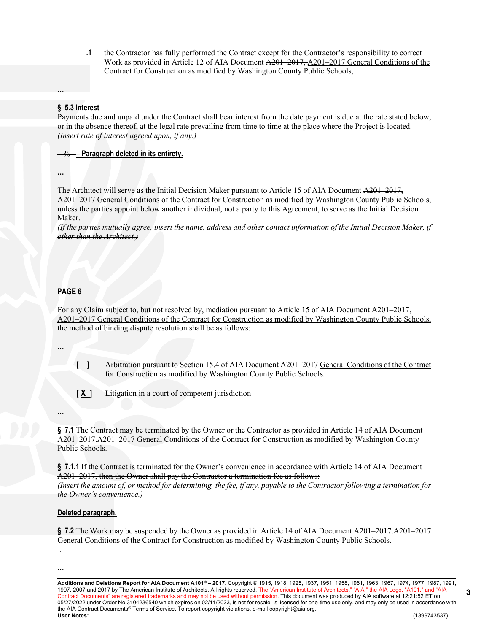**.1** the Contractor has fully performed the Contract except for the Contractor's responsibility to correct Work as provided in Article 12 of AIA Document A201–2017, A201–2017 General Conditions of the Contract for Construction as modified by Washington County Public Schools,

#### **§ 5.3 Interest**

Payments due and unpaid under the Contract shall bear interest from the date payment is due at the rate stated below, or in the absence thereof, at the legal rate prevailing from time to time at the place where the Project is located. *(Insert rate of interest agreed upon, if any.)*

% **– Paragraph deleted in its entirety.**

**…**

**…**

The Architect will serve as the Initial Decision Maker pursuant to Article 15 of AIA Document A201–2017, A201–2017 General Conditions of the Contract for Construction as modified by Washington County Public Schools, unless the parties appoint below another individual, not a party to this Agreement, to serve as the Initial Decision Maker.

*(If the parties mutually agree, insert the name, address and other contact information of the Initial Decision Maker, if other than the Architect.)*

#### **PAGE 6**

For any Claim subject to, but not resolved by, mediation pursuant to Article 15 of AIA Document A201–2017, A201–2017 General Conditions of the Contract for Construction as modified by Washington County Public Schools, the method of binding dispute resolution shall be as follows:

**…**

**…**

[ ] Arbitration pursuant to Section 15.4 of AIA Document A201–2017 General Conditions of the Contract for Construction as modified by Washington County Public Schools.

[ $X$ ] Litigation in a court of competent jurisdiction

**§ 7.1** The Contract may be terminated by the Owner or the Contractor as provided in Article 14 of AIA Document A201–2017.A201–2017 General Conditions of the Contract for Construction as modified by Washington County Public Schools.

**§ 7.1.1** If the Contract is terminated for the Owner's convenience in accordance with Article 14 of AIA Document A201–2017, then the Owner shall pay the Contractor a termination fee as follows: *(Insert the amount of, or method for determining, the fee, if any, payable to the Contractor following a termination for the Owner's convenience.)*

#### **Deleted paragraph.**

**§ 7.2** The Work may be suspended by the Owner as provided in Article 14 of AIA Document A201–2017.A201–2017 General Conditions of the Contract for Construction as modified by Washington County Public Schools.

 . **…**

**Additions and Deletions Report for AIA Document A101® – 2017.** Copyright © 1915, 1918, 1925, 1937, 1951, 1958, 1961, 1963, 1967, 1974, 1977, 1987, 1991, 1997, 2007 and 2017 by The American Institute of Architects. All rights reserved. The "American Institute of Architects," "AIA," the AIA Logo, "A101," and "AIA Contract Documents" are registered trademarks and may not be used without permission. This document was produced by AIA software at 12:21:52 ET on 05/27/2022 under Order No.3104236540 which expires on 02/11/2023, is not for resale, is licensed for one-time use only, and may only be used in accordance with the AIA Contract Documents® Terms of Service. To report copyright violations, e-mail copyright@aia.org.<br>User Notes: **User Notes:** (1399743537)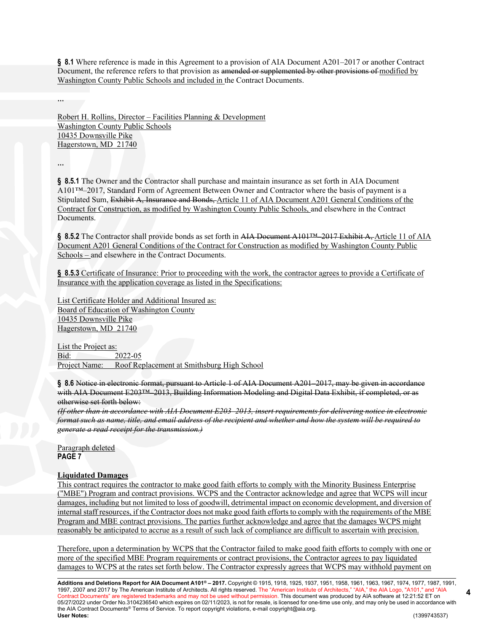§ 8.1 Where reference is made in this Agreement to a provision of AIA Document A201–2017 or another Contract Document, the reference refers to that provision as amended or supplemented by other provisions of modified by Washington County Public Schools and included in the Contract Documents.

Robert H. Rollins, Director – Facilities Planning & Development Washington County Public Schools 10435 Downsville Pike Hagerstown, MD 21740

**…**

**…**

**§ 8.5.1** The Owner and the Contractor shall purchase and maintain insurance as set forth in AIA Document A101™–2017, Standard Form of Agreement Between Owner and Contractor where the basis of payment is a Stipulated Sum, Exhibit A, Insurance and Bonds, Article 11 of AIA Document A201 General Conditions of the Contract for Construction, as modified by Washington County Public Schools, and elsewhere in the Contract Documents.

§ 8.5.2 The Contractor shall provide bonds as set forth in AIA Document A101™–2017 Exhibit A, Article 11 of AIA Document A201 General Conditions of the Contract for Construction as modified by Washington County Public Schools – and elsewhere in the Contract Documents.

**§ 8.5.3** Certificate of Insurance: Prior to proceeding with the work, the contractor agrees to provide a Certificate of Insurance with the application coverage as listed in the Specifications:

List Certificate Holder and Additional Insured as: Board of Education of Washington County 10435 Downsville Pike Hagerstown, MD 21740

List the Project as: Bid: 2022-05 Project Name: Roof Replacement at Smithsburg High School

**§ 8.6** Notice in electronic format, pursuant to Article 1 of AIA Document A201–2017, may be given in accordance with AIA Document E203™–2013, Building Information Modeling and Digital Data Exhibit, if completed, or as otherwise set forth below:

*(If other than in accordance with AIA Document E203–2013, insert requirements for delivering notice in electronic format such as name, title, and email address of the recipient and whether and how the system will be required to generate a read receipt for the transmission.)*

Paragraph deleted **PAGE 7**

# **Liquidated Damages**

This contract requires the contractor to make good faith efforts to comply with the Minority Business Enterprise ("MBE") Program and contract provisions. WCPS and the Contractor acknowledge and agree that WCPS will incur damages, including but not limited to loss of goodwill, detrimental impact on economic development, and diversion of internal staff resources, if the Contractor does not make good faith efforts to comply with the requirements of the MBE Program and MBE contract provisions. The parties further acknowledge and agree that the damages WCPS might reasonably be anticipated to accrue as a result of such lack of compliance are difficult to ascertain with precision.

Therefore, upon a determination by WCPS that the Contractor failed to make good faith efforts to comply with one or more of the specified MBE Program requirements or contract provisions, the Contractor agrees to pay liquidated damages to WCPS at the rates set forth below. The Contractor expressly agrees that WCPS may withhold payment on

**Additions and Deletions Report for AIA Document A101® – 2017.** Copyright © 1915, 1918, 1925, 1937, 1951, 1958, 1961, 1963, 1967, 1974, 1977, 1987, 1991, 1997, 2007 and 2017 by The American Institute of Architects. All rights reserved. The "American Institute of Architects," "AIA," the AIA Logo, "A101," and "AIA Contract Documents" are registered trademarks and may not be used without permission. This document was produced by AIA software at 12:21:52 ET on 05/27/2022 under Order No.3104236540 which expires on 02/11/2023, is not for resale, is licensed for one-time use only, and may only be used in accordance with the AIA Contract Documents® Terms of Service. To report copyright violations, e-mail copyright@aia.org.<br>User Notes: **User Notes:** (1399743537)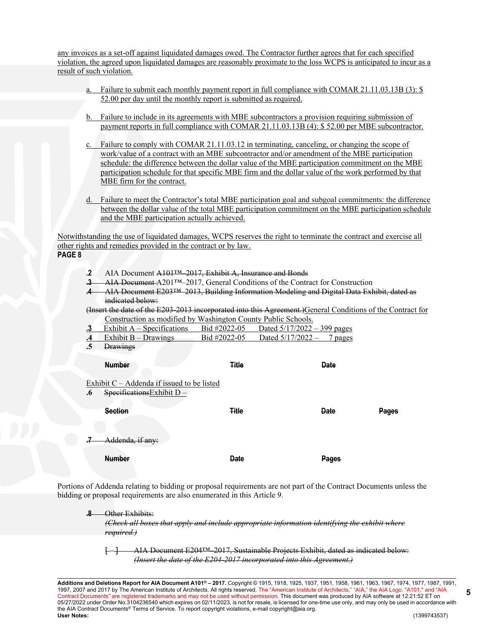any invoices as a set-off against liquidated damages owed. The Contractor further agrees that for each specified violation, the agreed upon liquidated damages are reasonably proximate to the loss WCPS is anticipated to incur as a result of such violation.

- a. Failure to submit each monthly payment report in full compliance with COMAR 21.11.03.13B (3): \$ 52.00 per day until the monthly report is submitted as required.
- b. Failure to include in its agreements with MBE subcontractors a provision requiring submission of payment reports in full compliance with COMAR 21.11.03.13B (4): \$ 52.00 per MBE subcontractor.
- c. Failure to comply with COMAR 21.11.03.12 in terminating, canceling, or changing the scope of work/value of a contract with an MBE subcontractor and/or amendment of the MBE participation schedule: the difference between the dollar value of the MBE participation commitment on the MBE participation schedule for that specific MBE firm and the dollar value of the work performed by that MBE firm for the contract.
- d. Failure to meet the Contractor's total MBE participation goal and subgoal commitments: the difference between the dollar value of the total MBE participation commitment on the MBE participation schedule and the MBE participation actually achieved.

Notwithstanding the use of liquidated damages, WCPS reserves the right to terminate the contract and exercise all other rights and remedies provided in the contract or by law. **PAGE 8**

- **.2** AIA Document A101™–2017, Exhibit A, Insurance and Bonds
- **.3** AIA Document A201™–2017, General Conditions of the Contract for Construction
- **.4** AIA Document E203™–2013, Building Information Modeling and Digital Data Exhibit, dated as indicated below:

(Insert the date of the E203-2013 incorporated into this Agreement.)General Conditions of the Contract for Construction as modified by Washington County Public Schools.

| $\mathbf{B}$ Exhibit A – Specifications | Bid #2022-05 | Dated $5/17/2022 - 399$ pages |
|-----------------------------------------|--------------|-------------------------------|
|                                         |              |                               |

- **.4** Exhibit B Drawings Bid #2022-05 Dated 5/17/2022 7 pages
- **.5** Drawings

|           | <b>Number</b>                                                                | <b>Title</b> | <b>Date</b>  |       |
|-----------|------------------------------------------------------------------------------|--------------|--------------|-------|
| $\cdot 6$ | Exhibit $C - Addenda$ if issued to be listed<br>Specifications Exhibit $D -$ |              |              |       |
|           | <b>Section</b>                                                               | <b>Title</b> | <b>Date</b>  | Pages |
| 7         | Addenda, if any:                                                             |              |              |       |
|           | <b>Number</b>                                                                | <b>Date</b>  | <b>Pages</b> |       |

Portions of Addenda relating to bidding or proposal requirements are not part of the Contract Documents unless the bidding or proposal requirements are also enumerated in this Article 9.

#### **. Other Exhibits:**

*(Check all boxes that apply and include appropriate information identifying the exhibit where required.)*

[ ] AIA Document E204™–2017, Sustainable Projects Exhibit, dated as indicated below: *(Insert the date of the E204-2017 incorporated into this Agreement.)*

**Additions and Deletions Report for AIA Document A101® – 2017.** Copyright © 1915, 1918, 1925, 1937, 1951, 1958, 1961, 1963, 1967, 1974, 1977, 1987, 1991, 1997, 2007 and 2017 by The American Institute of Architects. All rights reserved. The "American Institute of Architects," "AIA," the AIA Logo, "A101," and "AIA Contract Documents" are registered trademarks and may not be used without permission. This document was produced by AIA software at 12:21:52 ET on 05/27/2022 under Order No.3104236540 which expires on 02/11/2023, is not for resale, is licensed for one-time use only, and may only be used in accordance with the AIA Contract Documents® Terms of Service. To report copyright violations, e-mail copyright@aia.org.<br>User Notes: **User Notes:** (1399743537)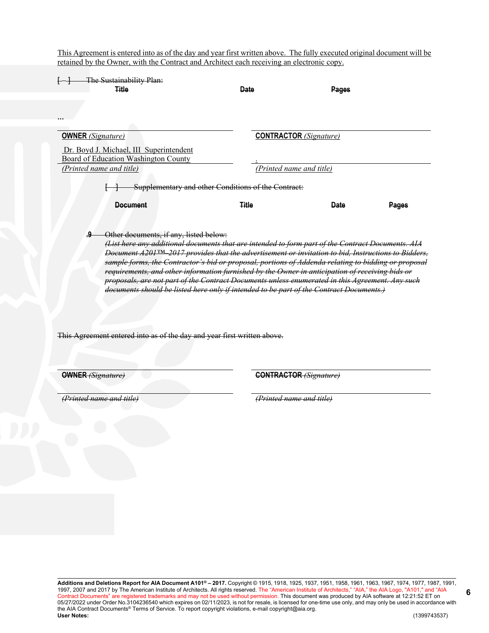This Agreement is entered into as of the day and year first written above. The fully executed original document will be retained by the Owner, with the Contract and Architect each receiving an electronic copy.

| The Sustainability Plan:                                                                                                                                                                                                                                                                                                                                                                                                                                                                                                                                                                                                                                                     |                                                     |                               |       |
|------------------------------------------------------------------------------------------------------------------------------------------------------------------------------------------------------------------------------------------------------------------------------------------------------------------------------------------------------------------------------------------------------------------------------------------------------------------------------------------------------------------------------------------------------------------------------------------------------------------------------------------------------------------------------|-----------------------------------------------------|-------------------------------|-------|
| <b>Title</b>                                                                                                                                                                                                                                                                                                                                                                                                                                                                                                                                                                                                                                                                 | <b>Date</b>                                         | Pages                         |       |
|                                                                                                                                                                                                                                                                                                                                                                                                                                                                                                                                                                                                                                                                              |                                                     |                               |       |
|                                                                                                                                                                                                                                                                                                                                                                                                                                                                                                                                                                                                                                                                              |                                                     |                               |       |
| <b>OWNER</b> (Signature)                                                                                                                                                                                                                                                                                                                                                                                                                                                                                                                                                                                                                                                     |                                                     | <b>CONTRACTOR</b> (Signature) |       |
| Dr. Boyd J. Michael, III Superintendent<br>Board of Education Washington County                                                                                                                                                                                                                                                                                                                                                                                                                                                                                                                                                                                              |                                                     |                               |       |
| (Printed name and title)                                                                                                                                                                                                                                                                                                                                                                                                                                                                                                                                                                                                                                                     |                                                     | (Printed name and title)      |       |
|                                                                                                                                                                                                                                                                                                                                                                                                                                                                                                                                                                                                                                                                              | Supplementary and other Conditions of the Contract: |                               |       |
| <b>Document</b>                                                                                                                                                                                                                                                                                                                                                                                                                                                                                                                                                                                                                                                              | <b>Title</b>                                        | <b>Date</b>                   | Pages |
| .9<br>Other documents, if any, listed below:<br>(List here any additional documents that are intended to form part of the Contract Documents. AIA<br>Document A201 <sup>TM</sup> 2017 provides that the advertisement or invitation to bid, Instructions to Bidders,<br>sample forms, the Contractor's bid or proposal, portions of Addenda relating to bidding or proposal<br>requirements, and other information furnished by the Owner in anticipation of receiving bids or<br>proposals, are not part of the Contract Documents unless enumerated in this Agreement. Any such<br>documents should be listed here only if intended to be part of the Contract Documents.) |                                                     |                               |       |
| This Agreement entered into as of the day and year first written above.                                                                                                                                                                                                                                                                                                                                                                                                                                                                                                                                                                                                      |                                                     |                               |       |

**OWNER** *(Signature)* **CONTRACTOR** *(Signature)* 

*(Printed name and title) (Printed name and title)*